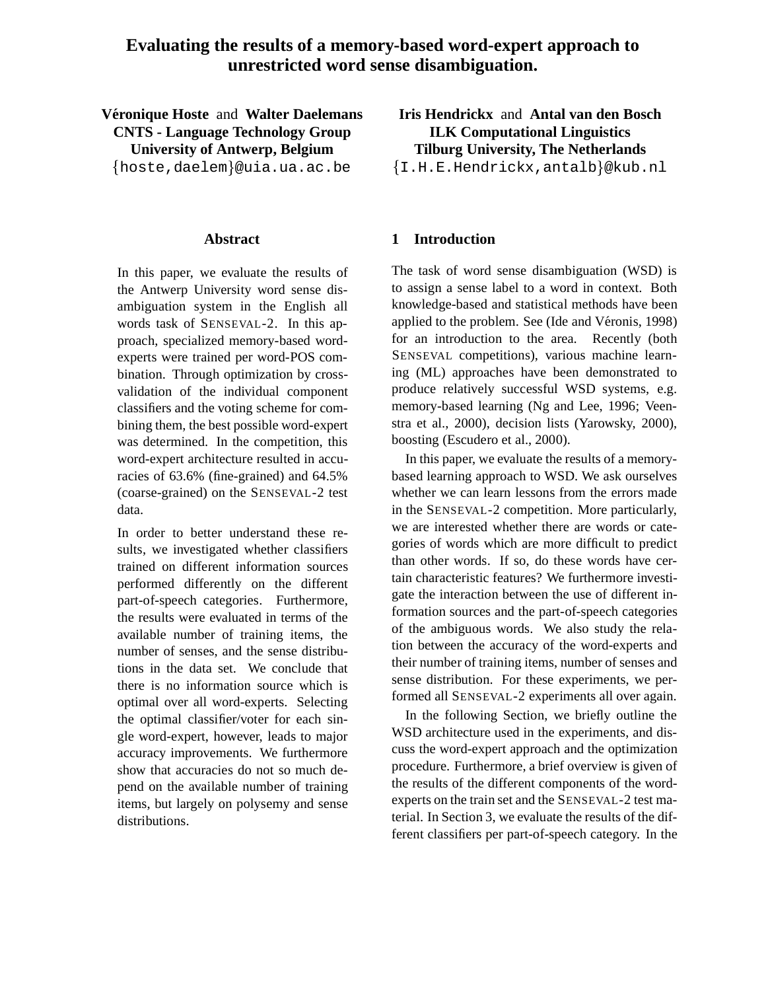# **Evaluating the results of a memory-based word-expert approach to unrestricted word sense disambiguation.**

**Véronique Hoste** and **Walter Daelemans CNTS - Language Technology Group University of Antwerp, Belgium**  $\{ \text{hoste}, \text{daelem} \}$ @uia.ua.ac.be

## **Abstract**

In this paper, we evaluate the results of the Antwerp University word sense disambiguation system in the English all words task of SENSEVAL-2. In this approach, specialized memory-based wordexperts were trained per word-POS combination. Through optimization by crossvalidation of the individual component classifiers and the voting scheme for combining them, the best possible word-expert was determined. In the competition, this word-expert architecture resulted in accuracies of 63.6% (fine-grained) and 64.5% (coarse-grained) on the SENSEVAL-2 test data.

In order to better understand these results, we investigated whether classifiers trained on different information sources performed differently on the different part-of-speech categories. Furthermore, the results were evaluated in terms of the available number of training items, the number of senses, and the sense distributions in the data set. We conclude that there is no information source which is optimal over all word-experts. Selecting the optimal classifier/voter for each single word-expert, however, leads to major accuracy improvements. We furthermore show that accuracies do not so much depend on the available number of training items, but largely on polysemy and sense distributions.

**Iris Hendrickx** and **Antal van den Bosch ILK Computational Linguistics Tilburg University, The Netherlands**

 $\left\lbrace \texttt{I.H.E.Hendrickx}, \texttt{antalb} \right\rbrace$ @kub.nl

## **1 Introduction**

The task of word sense disambiguation (WSD) is to assign a sense label to a word in context. Both knowledge-based and statistical methods have been applied to the problem. See (Ide and Véronis, 1998) for an introduction to the area. Recently (both SENSEVAL competitions), various machine learning (ML) approaches have been demonstrated to produce relatively successful WSD systems, e.g. memory-based learning (Ng and Lee, 1996; Veenstra et al., 2000), decision lists (Yarowsky, 2000), boosting (Escudero et al., 2000).

In this paper, we evaluate the results of a memorybased learning approach to WSD. We ask ourselves whether we can learn lessons from the errors made in the SENSEVAL-2 competition. More particularly, we are interested whether there are words or categories of words which are more difficult to predict than other words. If so, do these words have certain characteristic features? We furthermore investigate the interaction between the use of different information sources and the part-of-speech categories of the ambiguous words. We also study the relation between the accuracy of the word-experts and their number of training items, number of senses and sense distribution. For these experiments, we performed all SENSEVAL-2 experiments all over again.

In the following Section, we briefly outline the WSD architecture used in the experiments, and discuss the word-expert approach and the optimization procedure. Furthermore, a brief overview is given of the results of the different components of the wordexperts on the train set and the SENSEVAL-2 test material. In Section 3, we evaluate the results of the different classifiers per part-of-speech category. In the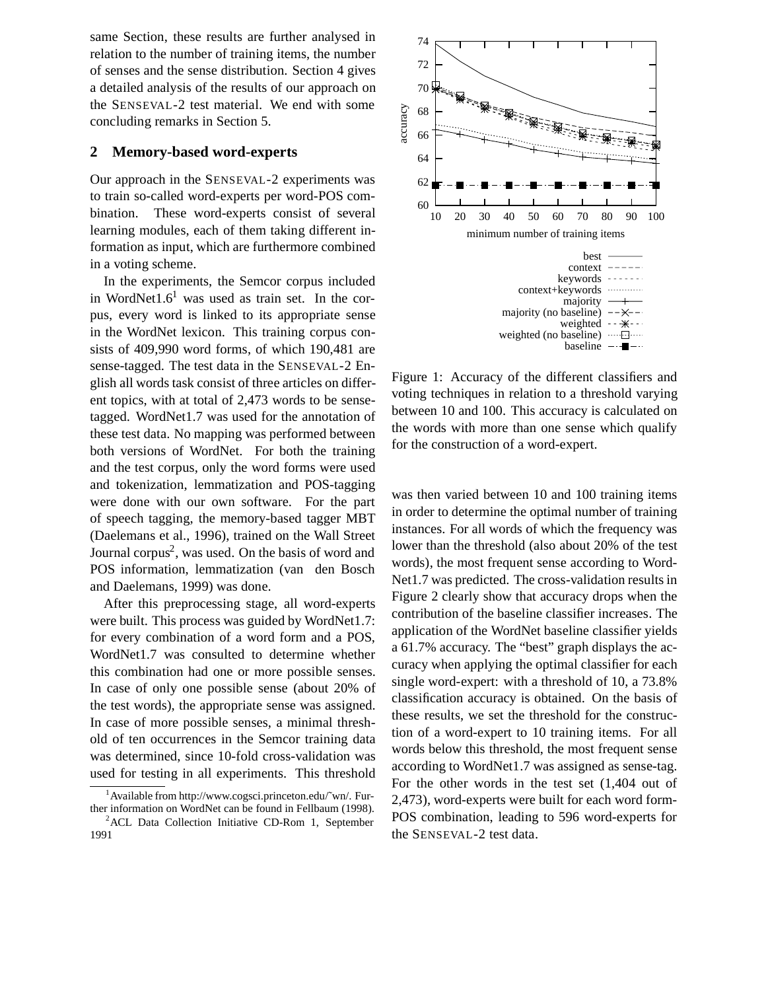same Section, these results are further analysed in relation to the number of training items, the number of senses and the sense distribution. Section 4 gives a detailed analysis of the results of our approach on the SENSEVAL-2 test material. We end with some concluding remarks in Section 5.

# **2 Memory-based word-experts**

Our approach in the SENSEVAL-2 experiments was to train so-called word-experts per word-POS combination. These word-experts consist of several learning modules, each of them taking different information as input, which are furthermore combined in a voting scheme.

In the experiments, the Semcor corpus included in WordNet1.6<sup>1</sup> was used as train set. In the corpus, every word is linked to its appropriate sense in the WordNet lexicon. This training corpus consists of 409,990 word forms, of which 190,481 are sense-tagged. The test data in the SENSEVAL-2 English all words task consist of three articles on different topics, with at total of 2,473 words to be sensetagged. WordNet1.7 was used for the annotation of these test data. No mapping was performed between both versions of WordNet. For both the training and the test corpus, only the word forms were used and tokenization, lemmatization and POS-tagging were done with our own software. For the part of speech tagging, the memory-based tagger MBT (Daelemans et al., 1996), trained on the Wall Street Journal corpus<sup>2</sup>, was used. On the basis of word and POS information, lemmatization (van den Bosch and Daelemans, 1999) was done.

After this preprocessing stage, all word-experts were built. This process was guided by WordNet1.7: for every combination of a word form and a POS, WordNet1.7 was consulted to determine whether this combination had one or more possible senses. In case of only one possible sense (about 20% of the test words), the appropriate sense was assigned. In case of more possible senses, a minimal threshold of ten occurrences in the Semcor training data was determined, since 10-fold cross-validation was used for testing in all experiments. This threshold



Figure 1: Accuracy of the different classifiers and voting techniques in relation to a threshold varying between 10 and 100. This accuracy is calculated on the words with more than one sense which qualify for the construction of a word-expert.

was then varied between 10 and 100 training items in order to determine the optimal number of training instances. For all words of which the frequency was lower than the threshold (also about 20% of the test words), the most frequent sense according to Word-Net1.7 was predicted. The cross-validation results in Figure 2 clearly show that accuracy drops when the contribution of the baseline classifier increases. The application of the WordNet baseline classifier yields a 61.7% accuracy. The "best" graph displays the accuracy when applying the optimal classifier for each single word-expert: with a threshold of 10, a 73.8% classification accuracy is obtained. On the basis of these results, we set the threshold for the construction of a word-expert to 10 training items. For all words below this threshold, the most frequent sense according to WordNet1.7 was assigned as sense-tag. For the other words in the test set (1,404 out of 2,473), word-experts were built for each word form-POS combination, leading to 596 word-experts for the SENSEVAL-2 test data.

<sup>&</sup>lt;sup>1</sup>Available from http://www.cogsci.princeton.edu/~wn/. Further information on WordNet can be found in Fellbaum (1998).

<sup>&</sup>lt;sup>2</sup>ACL Data Collection Initiative CD-Rom 1, September 1991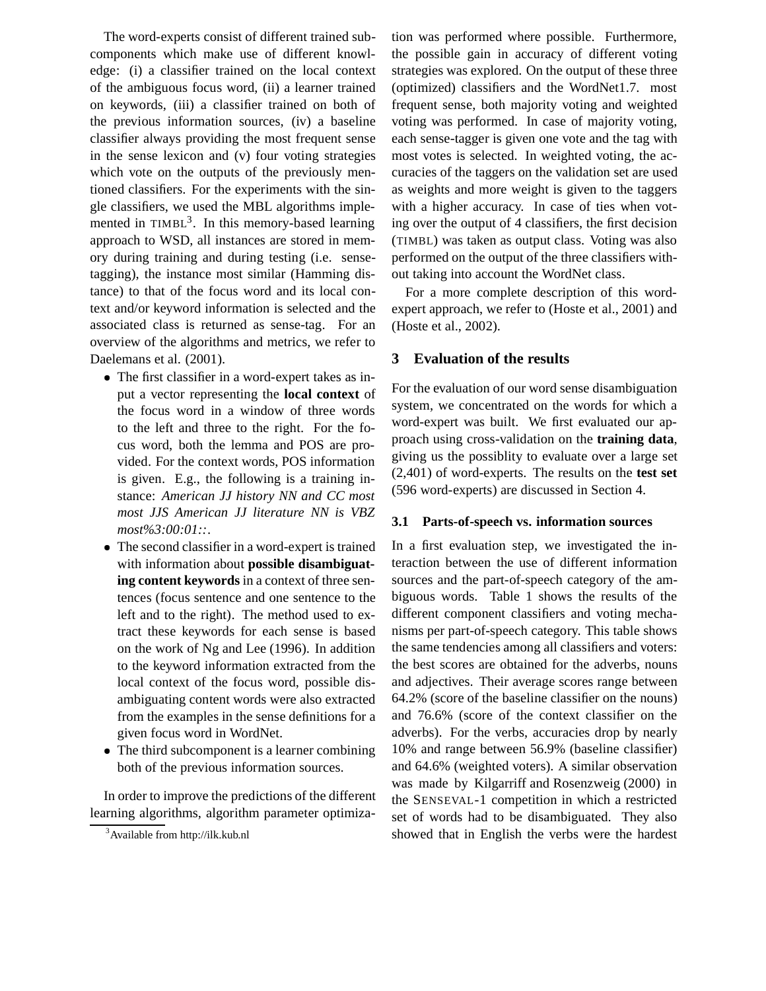The word-experts consist of different trained subcomponents which make use of different knowledge: (i) a classifier trained on the local context of the ambiguous focus word, (ii) a learner trained on keywords, (iii) a classifier trained on both of the previous information sources, (iv) a baseline classifier always providing the most frequent sense in the sense lexicon and (v) four voting strategies which vote on the outputs of the previously mentioned classifiers. For the experiments with the single classifiers, we used the MBL algorithms implemented in TIMBL<sup>3</sup>. In this memory-based learning approach to WSD, all instances are stored in memory during training and during testing (i.e. sensetagging), the instance most similar (Hamming distance) to that of the focus word and its local context and/or keyword information is selected and the associated class is returned as sense-tag. For an overview of the algorithms and metrics, we refer to Daelemans et al. (2001).

- The first classifier in a word-expert takes as input a vector representing the **local context** of the focus word in a window of three words to the left and three to the right. For the focus word, both the lemma and POS are provided. For the context words, POS information is given. E.g., the following is a training instance: *American JJ history NN and CC most most JJS American JJ literature NN is VBZ most%3:00:01::*.
- The second classifier in a word-expert is trained with information about **possible disambiguating content keywords** in a context of three sentences (focus sentence and one sentence to the left and to the right). The method used to extract these keywords for each sense is based on the work of Ng and Lee (1996). In addition to the keyword information extracted from the local context of the focus word, possible disambiguating content words were also extracted from the examples in the sense definitions for a given focus word in WordNet.
- The third subcomponent is a learner combining both of the previous information sources.

In order to improve the predictions of the different learning algorithms, algorithm parameter optimization was performed where possible. Furthermore, the possible gain in accuracy of different voting strategies was explored. On the output of these three (optimized) classifiers and the WordNet1.7. most frequent sense, both majority voting and weighted voting was performed. In case of majority voting, each sense-tagger is given one vote and the tag with most votes is selected. In weighted voting, the accuracies of the taggers on the validation set are used as weights and more weight is given to the taggers with a higher accuracy. In case of ties when voting over the output of 4 classifiers, the first decision (TIMBL) was taken as output class. Voting was also performed on the output of the three classifiers without taking into account the WordNet class.

For a more complete description of this wordexpert approach, we refer to (Hoste et al., 2001) and (Hoste et al., 2002).

## **3 Evaluation of the results**

For the evaluation of our word sense disambiguation system, we concentrated on the words for which a word-expert was built. We first evaluated our approach using cross-validation on the **training data**, giving us the possiblity to evaluate over a large set (2,401) of word-experts. The results on the **test set** (596 word-experts) are discussed in Section 4.

## **3.1 Parts-of-speech vs. information sources**

In a first evaluation step, we investigated the interaction between the use of different information sources and the part-of-speech category of the ambiguous words. Table 1 shows the results of the different component classifiers and voting mechanisms per part-of-speech category. This table shows the same tendencies among all classifiers and voters: the best scores are obtained for the adverbs, nouns and adjectives. Their average scores range between 64.2% (score of the baseline classifier on the nouns) and 76.6% (score of the context classifier on the adverbs). For the verbs, accuracies drop by nearly 10% and range between 56.9% (baseline classifier) and 64.6% (weighted voters). A similar observation was made by Kilgarriff and Rosenzweig (2000) in the SENSEVAL-1 competition in which a restricted set of words had to be disambiguated. They also showed that in English the verbs were the hardest

<sup>3</sup>Available from http://ilk.kub.nl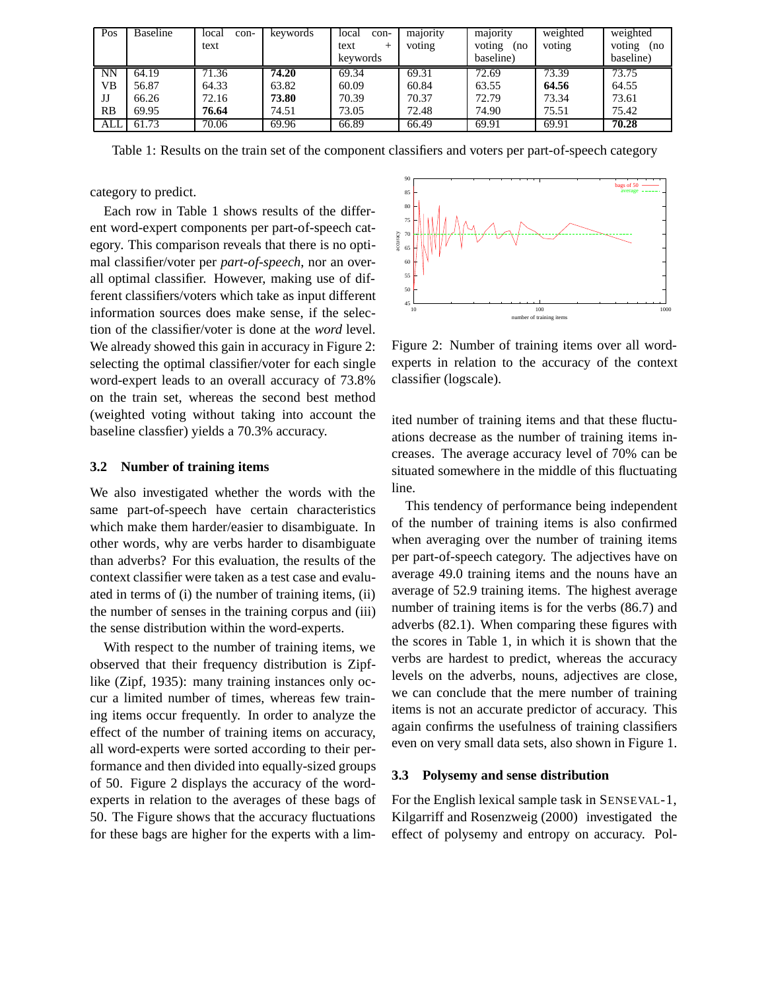| Pos             | <b>Baseline</b> | local<br>con-      | keywords | local<br>con- | majority | majority      | weighted | weighted       |
|-----------------|-----------------|--------------------|----------|---------------|----------|---------------|----------|----------------|
|                 |                 | text               |          | text<br>┷     | voting   | voting<br>(no | voting   | voting<br>(no) |
|                 |                 |                    |          | keywords      |          | baseline)     |          | baseline)      |
| $\overline{N}N$ | 64.19           | $71.\overline{36}$ | 74.20    | 69.34         | 69.31    | 72.69         | 73.39    | 73.75          |
| VВ              | 56.87           | 64.33              | 63.82    | 60.09         | 60.84    | 63.55         | 64.56    | 64.55          |
| JJ              | 66.26           | 72.16              | 73.80    | 70.39         | 70.37    | 72.79         | 73.34    | 73.61          |
| RB              | 69.95           | 76.64              | 74.51    | 73.05         | 72.48    | 74.90         | 75.51    | 75.42          |
| ALL             | 61.73           | 70.06              | 69.96    | 66.89         | 66.49    | 69.91         | 69.91    | 70.28          |

Table 1: Results on the train set of the component classifiers and voters per part-of-speech category

category to predict.

Each row in Table 1 shows results of the different word-expert components per part-of-speech category. This comparison reveals that there is no optimal classifier/voter per *part-of-speech*, nor an overall optimal classifier. However, making use of different classifiers/voters which take as input different information sources does make sense, if the selection of the classifier/voter is done at the *word* level. We already showed this gain in accuracy in Figure 2: selecting the optimal classifier/voter for each single word-expert leads to an overall accuracy of 73.8% on the train set, whereas the second best method (weighted voting without taking into account the baseline classfier) yields a 70.3% accuracy.

## **3.2 Number of training items**

We also investigated whether the words with the same part-of-speech have certain characteristics which make them harder/easier to disambiguate. In other words, why are verbs harder to disambiguate than adverbs? For this evaluation, the results of the context classifier were taken as a test case and evaluated in terms of (i) the number of training items, (ii) the number of senses in the training corpus and (iii) the sense distribution within the word-experts.

With respect to the number of training items, we observed that their frequency distribution is Zipflike (Zipf, 1935): many training instances only occur a limited number of times, whereas few training items occur frequently. In order to analyze the effect of the number of training items on accuracy, all word-experts were sorted according to their performance and then divided into equally-sized groups of 50. Figure 2 displays the accuracy of the wordexperts in relation to the averages of these bags of 50. The Figure shows that the accuracy fluctuations for these bags are higher for the experts with a lim-



Figure 2: Number of training items over all wordexperts in relation to the accuracy of the context classifier (logscale).

ited number of training items and that these fluctuations decrease as the number of training items increases. The average accuracy level of 70% can be situated somewhere in the middle of this fluctuating line.

This tendency of performance being independent of the number of training items is also confirmed when averaging over the number of training items per part-of-speech category. The adjectives have on average 49.0 training items and the nouns have an average of 52.9 training items. The highest average number of training items is for the verbs (86.7) and adverbs (82.1). When comparing these figures with the scores in Table 1, in which it is shown that the verbs are hardest to predict, whereas the accuracy levels on the adverbs, nouns, adjectives are close, we can conclude that the mere number of training items is not an accurate predictor of accuracy. This again confirms the usefulness of training classifiers even on very small data sets, also shown in Figure 1.

### **3.3 Polysemy and sense distribution**

For the English lexical sample task in SENSEVAL-1, Kilgarriff and Rosenzweig (2000) investigated the effect of polysemy and entropy on accuracy. Pol-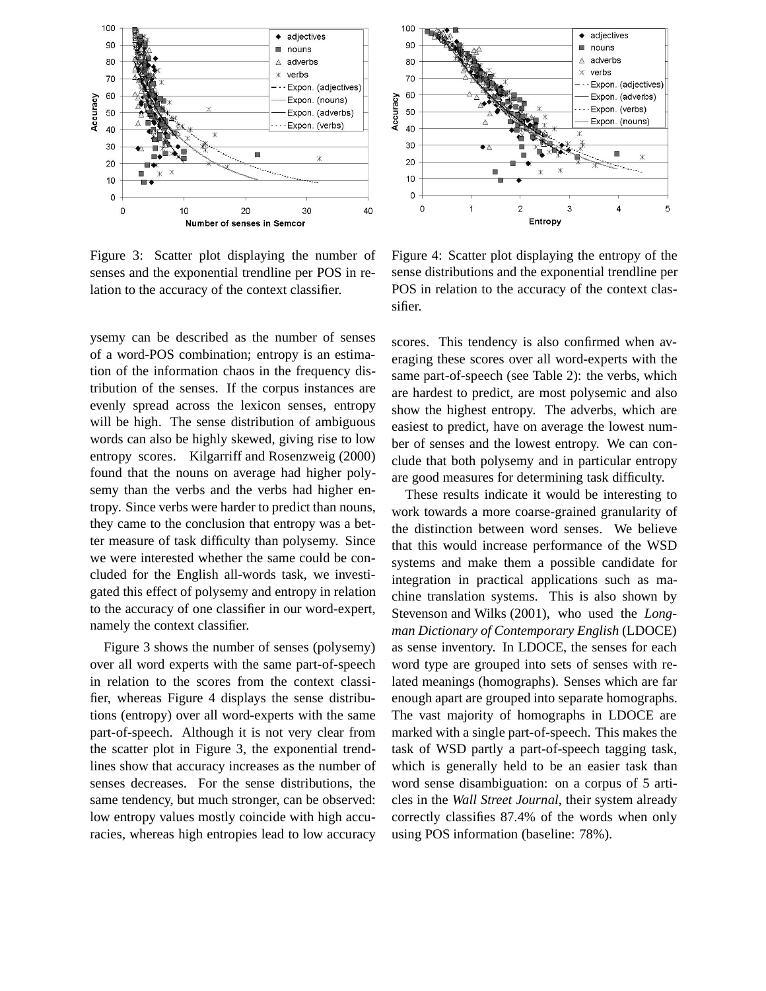

Figure 3: Scatter plot displaying the number of senses and the exponential trendline per POS in relation to the accuracy of the context classifier.

ysemy can be described as the number of senses of a word-POS combination; entropy is an estimation of the information chaos in the frequency distribution of the senses. If the corpus instances are evenly spread across the lexicon senses, entropy will be high. The sense distribution of ambiguous words can also be highly skewed, giving rise to low entropy scores. Kilgarriff and Rosenzweig (2000) found that the nouns on average had higher polysemy than the verbs and the verbs had higher entropy. Since verbs were harder to predict than nouns, they came to the conclusion that entropy was a better measure of task difficulty than polysemy. Since we were interested whether the same could be concluded for the English all-words task, we investigated this effect of polysemy and entropy in relation to the accuracy of one classifier in our word-expert, namely the context classifier.

Figure 3 shows the number of senses (polysemy) over all word experts with the same part-of-speech in relation to the scores from the context classifier, whereas Figure 4 displays the sense distributions (entropy) over all word-experts with the same part-of-speech. Although it is not very clear from the scatter plot in Figure 3, the exponential trendlines show that accuracy increases as the number of senses decreases. For the sense distributions, the same tendency, but much stronger, can be observed: low entropy values mostly coincide with high accuracies, whereas high entropies lead to low accuracy



Figure 4: Scatter plot displaying the entropy of the sense distributions and the exponential trendline per POS in relation to the accuracy of the context classifier.

scores. This tendency is also confirmed when averaging these scores over all word-experts with the same part-of-speech (see Table 2): the verbs, which are hardest to predict, are most polysemic and also show the highest entropy. The adverbs, which are easiest to predict, have on average the lowest number of senses and the lowest entropy. We can conclude that both polysemy and in particular entropy are good measures for determining task difficulty.

These results indicate it would be interesting to work towards a more coarse-grained granularity of the distinction between word senses. We believe that this would increase performance of the WSD systems and make them a possible candidate for integration in practical applications such as machine translation systems. This is also shown by Stevenson and Wilks (2001), who used the *Longman Dictionary of Contemporary English* (LDOCE) as sense inventory. In LDOCE, the senses for each word type are grouped into sets of senses with related meanings (homographs). Senses which are far enough apart are grouped into separate homographs. The vast majority of homographs in LDOCE are marked with a single part-of-speech. This makes the task of WSD partly a part-of-speech tagging task, which is generally held to be an easier task than word sense disambiguation: on a corpus of 5 articles in the *Wall Street Journal*, their system already correctly classifies 87.4% of the words when only using POS information (baseline: 78%).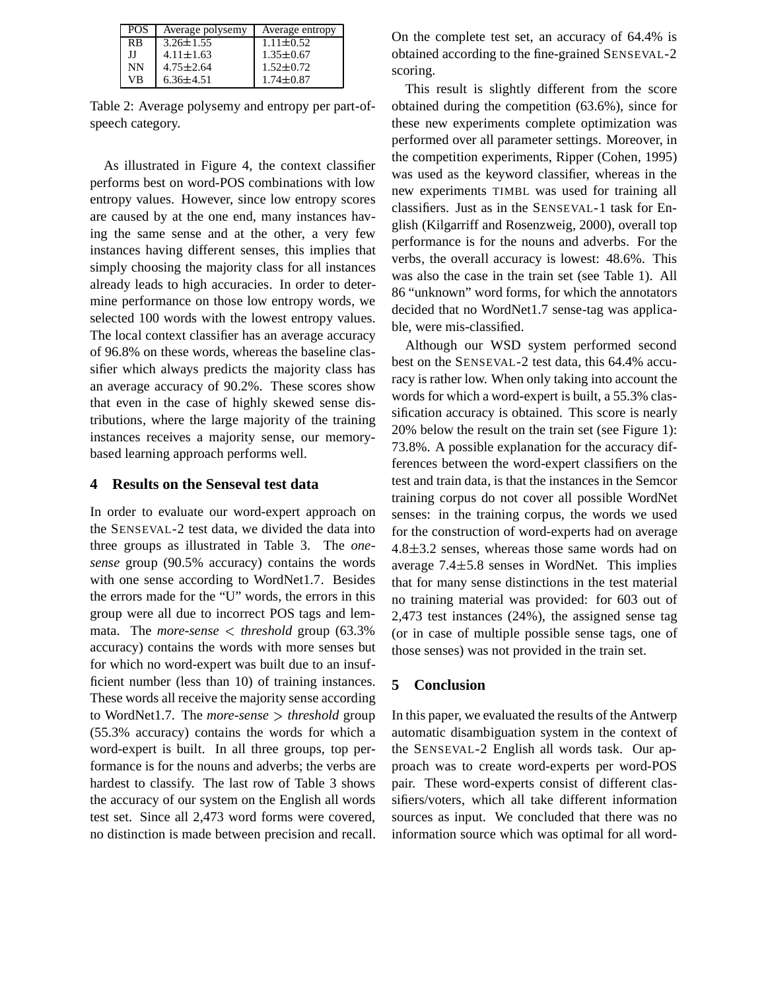| POS.      | Average polysemy | Average entropy |
|-----------|------------------|-----------------|
| <b>RB</b> | $3.26 \pm 1.55$  | $1.11 \pm 0.52$ |
| Л         | $4.11 \pm 1.63$  | $1.35 \pm 0.67$ |
| NN        | $4.75 \pm 2.64$  | $1.52 \pm 0.72$ |
| VB        | $6.36 \pm 4.51$  | $1.74 \pm 0.87$ |

Table 2: Average polysemy and entropy per part-ofspeech category.

As illustrated in Figure 4, the context classifier performs best on word-POS combinations with low entropy values. However, since low entropy scores are caused by at the one end, many instances having the same sense and at the other, a very few instances having different senses, this implies that simply choosing the majority class for all instances already leads to high accuracies. In order to determine performance on those low entropy words, we selected 100 words with the lowest entropy values. The local context classifier has an average accuracy of 96.8% on these words, whereas the baseline classifier which always predicts the majority class has an average accuracy of 90.2%. These scores show that even in the case of highly skewed sense distributions, where the large majority of the training instances receives a majority sense, our memorybased learning approach performs well.

# **4 Results on the Senseval test data**

In order to evaluate our word-expert approach on the SENSEVAL-2 test data, we divided the data into three groups as illustrated in Table 3. The *onesense* group (90.5% accuracy) contains the words with one sense according to WordNet1.7. Besides the errors made for the "U" words, the errors in this group were all due to incorrect POS tags and lemmata. The *more-sense* < threshold group (63.3%) accuracy) contains the words with more senses but for which no word-expert was built due to an insufficient number (less than 10) of training instances. These words all receive the majority sense according to WordNet1.7. The *more-sense* > *threshold* group (55.3% accuracy) contains the words for which a word-expert is built. In all three groups, top performance is for the nouns and adverbs; the verbs are hardest to classify. The last row of Table 3 shows the accuracy of our system on the English all words test set. Since all 2,473 word forms were covered, no distinction is made between precision and recall. On the complete test set, an accuracy of 64.4% is obtained according to the fine-grained SENSEVAL-2 scoring.

This result is slightly different from the score obtained during the competition (63.6%), since for these new experiments complete optimization was performed over all parameter settings. Moreover, in the competition experiments, Ripper (Cohen, 1995) was used as the keyword classifier, whereas in the new experiments TIMBL was used for training all classifiers. Just as in the SENSEVAL-1 task for English (Kilgarriff and Rosenzweig, 2000), overall top performance is for the nouns and adverbs. For the verbs, the overall accuracy is lowest: 48.6%. This was also the case in the train set (see Table 1). All 86 "unknown" word forms, for which the annotators decided that no WordNet1.7 sense-tag was applicable, were mis-classified.

Although our WSD system performed second best on the SENSEVAL-2 test data, this 64.4% accuracy is rather low. When only taking into account the words for which a word-expert is built, a 55.3% classification accuracy is obtained. This score is nearly 20% below the result on the train set (see Figure 1): 73.8%. A possible explanation for the accuracy differences between the word-expert classifiers on the test and train data, is that the instances in the Semcor training corpus do not cover all possible WordNet senses: in the training corpus, the words we used for the construction of word-experts had on average  $4.8\pm3.2$  senses, whereas those same words had on average  $7.4 \pm 5.8$  senses in WordNet. This implies that for many sense distinctions in the test material no training material was provided: for 603 out of 2,473 test instances (24%), the assigned sense tag (or in case of multiple possible sense tags, one of those senses) was not provided in the train set.

# **5 Conclusion**

In this paper, we evaluated the results of the Antwerp automatic disambiguation system in the context of the SENSEVAL-2 English all words task. Our approach was to create word-experts per word-POS pair. These word-experts consist of different classifiers/voters, which all take different information sources as input. We concluded that there was no information source which was optimal for all word-